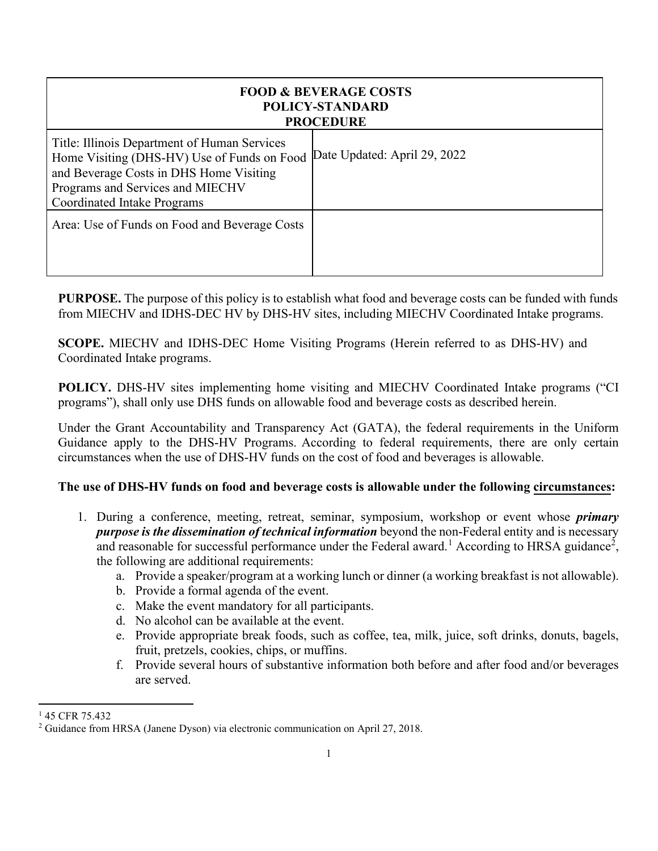| <b>FOOD &amp; BEVERAGE COSTS</b><br><b>POLICY-STANDARD</b><br><b>PROCEDURE</b>                                                                                                                                   |                              |
|------------------------------------------------------------------------------------------------------------------------------------------------------------------------------------------------------------------|------------------------------|
| Title: Illinois Department of Human Services<br>Home Visiting (DHS-HV) Use of Funds on Food<br>and Beverage Costs in DHS Home Visiting<br>Programs and Services and MIECHV<br><b>Coordinated Intake Programs</b> | Date Updated: April 29, 2022 |
| Area: Use of Funds on Food and Beverage Costs                                                                                                                                                                    |                              |

**PURPOSE.** The purpose of this policy is to establish what food and beverage costs can be funded with funds from MIECHV and IDHS-DEC HV by DHS-HV sites, including MIECHV Coordinated Intake programs.

**SCOPE.** MIECHV and IDHS-DEC Home Visiting Programs (Herein referred to as DHS-HV) and Coordinated Intake programs.

**POLICY.** DHS-HV sites implementing home visiting and MIECHV Coordinated Intake programs ("CI programs"), shall only use DHS funds on allowable food and beverage costs as described herein.

Under the Grant Accountability and Transparency Act (GATA), the federal requirements in the Uniform Guidance apply to the DHS-HV Programs. According to federal requirements, there are only certain circumstances when the use of DHS-HV funds on the cost of food and beverages is allowable.

## **The use of DHS-HV funds on food and beverage costs is allowable under the following circumstances:**

- 1. During a conference, meeting, retreat, seminar, symposium, workshop or event whose *primary purpose is the dissemination of technical information* beyond the non-Federal entity and is necessary and reasonable for successful performance under the Federal award.<sup>[1](#page-0-0)</sup> According to HRSA guidance<sup>[2](#page-0-1)</sup>, the following are additional requirements:
	- a. Provide a speaker/program at a working lunch or dinner (a working breakfast is not allowable).
	- b. Provide a formal agenda of the event.
	- c. Make the event mandatory for all participants.
	- d. No alcohol can be available at the event.
	- e. Provide appropriate break foods, such as coffee, tea, milk, juice, soft drinks, donuts, bagels, fruit, pretzels, cookies, chips, or muffins.
	- f. Provide several hours of substantive information both before and after food and/or beverages are served.

<span id="page-0-0"></span> $145$  CFR 75.432

<span id="page-0-1"></span><sup>2</sup> Guidance from HRSA (Janene Dyson) via electronic communication on April 27, 2018.